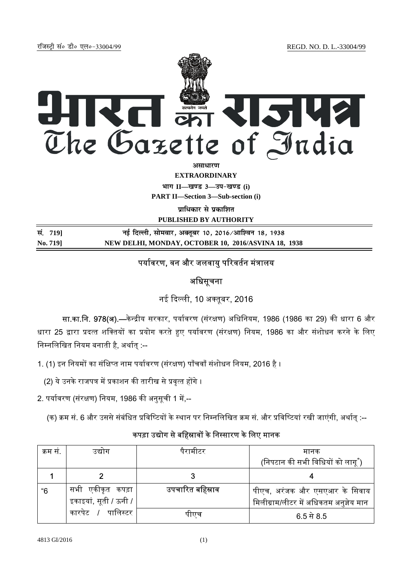jftLVªh laö Mhö ,yö&33004@99 REGD. NO. D. L.-33004/99



**vitarishi** 

**EXTRAORDINARY**

**Hkkx II—[k.M 3—mi&[k.M (i)**

**PART II—Section 3—Sub-section (i)** 

**पाधिकार से प्रकाशित PUBLISHED BY AUTHORITY**

| सं. 719] | नई दिल्ली, सोमवार, अक्तूबर 10, 2016/आश्विन 18, 1938 |
|----------|-----------------------------------------------------|
| No. 719] | NEW DELHI, MONDAY, OCTOBER 10, 2016/ASVINA 18, 1938 |

# पर्यावरण, वन और जलवायु परिवर्तन मंत्रालय

## अधिसूचना

नई दिल्ली, 10 अक्तबर, 2016

सा.<mark>का.नि. 978(अ).—</mark>केन्द्रीय सरकार, पर्यावरण (संरक्षण) अधिनियम, 1986 (1986 का 29) की धारा 6 और धारा 25 द्वारा प्रदत्त शक्तियों का प्रयोग करते हुए पर्यावरण (संरक्षण) नियम, 1986 का और संशोधन करने के लिए निम्नलिखित नियम बनाती है, अर्थात :--

1. (1) इन नियमों का संक्षिप्त नाम पर्यावरण (संरक्षण) पाँचवाँ संशोधन नियम, 2016 है ।

(2) ये उनके राजपत्र में प्रकाशन की तारीख से प्रवृत्त होंगे ।

2. पर्यावरण (संरक्षण) नियम, 1986 की अनुसूची 1 में,--

(क) क्रम सं. 6 और उससे संबंधित प्रविष्टियों के स्थान पर निम्नलिखित क्रम सं. और प्रविष्टियां रखी जाएंगी, अर्थात् :--

## कपड़ा उद्योग से बहिस्रावों के निस्सारण के लिए मानक

| क्रम स. | उद्याग                     | पैरामीटर         | मानक                                   |
|---------|----------------------------|------------------|----------------------------------------|
|         |                            |                  | (निपटान की सभी विधियों को लागू ँ)      |
|         |                            |                  |                                        |
| "6      | सभी एकीकृत कपड़ा           | उपचारित बहिस्राव | पीएच, अरंजक और एसएआर के सिवाय          |
|         | इकाइयां, सूती / ऊनी /      |                  | मिलीग्राम/लीटर में अधिकतम अनुज्ञेय मान |
|         | <i>।</i> पालिस्टर<br>कारपट | पाएच             | $6.5 \; \text{ft} \; 8.5$              |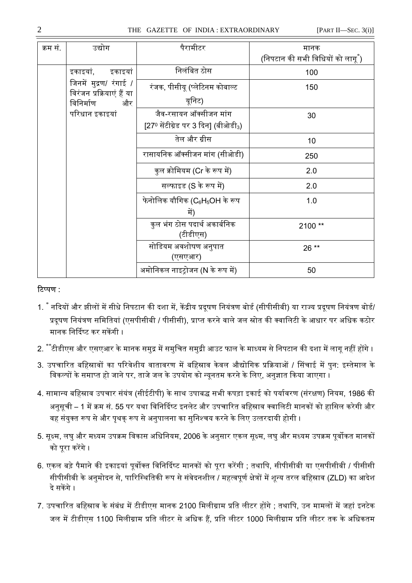### 2 THE GAZETTE OF INDIA : EXTRAORDINARY [PART II—SEC. 3(i)]

| क्रम सं. | उद्योग                                                                                   | पैरामीटर                                 | मानक<br>(निपटान की सभी विधियों को लागू ँ) |
|----------|------------------------------------------------------------------------------------------|------------------------------------------|-------------------------------------------|
|          | इकाइयां, इकाइयां                                                                         | निलंबित ठोस                              | 100                                       |
|          | जिनमें मुद्रण/ रंगाई /<br>विरंजन प्रक्रियाएं हैं या<br>विनिर्माण<br>और<br>परिधान इकाइयां | रंजक, पीसीयू (प्लेटिनम कोबाल्ट           | 150                                       |
|          |                                                                                          | यूनिट)                                   |                                           |
|          |                                                                                          | जैव-रसायन ऑक्सीजन मांग                   | 30                                        |
|          |                                                                                          | [27º सेंटीग्रेड पर 3 दिन] (बीओडी3)       |                                           |
|          |                                                                                          | तेल और ग्रीस                             | 10                                        |
|          |                                                                                          | रासायनिक ऑक्सीजन मांग (सीओडी)            | 250                                       |
|          |                                                                                          | कुल क्रोमियम (Cr के रूप में)             | 2.0                                       |
|          |                                                                                          | सल्फाइड (S के रूप में)                   | 2.0                                       |
|          |                                                                                          | फेनोलिक यौगिक (C $_6$ H $_5$ OH के रूप   | 1.0                                       |
|          |                                                                                          | में)                                     |                                           |
|          |                                                                                          | कुल भंग ठोस पदार्थ अकार्बनिक<br>(टीडीएस) | 2100**                                    |
|          |                                                                                          | सोडियम अवशोषण अनुपात<br>(एसएआर)          | 26 **                                     |
|          |                                                                                          | अमोनिकल नाइट्रोजन (N के रूप में)         | 50                                        |

### टिप्पण :

- 1. ै नदियों और झीलों में सीधे निपटान की दशा में, केंद्रीय प्रदूषण नियंत्रण बोर्ड (सीपीसीबी) या राज्य प्रदूषण नियंत्रण बोर्ड/ प्रदूषण नियंत्रण समितियां (एसपीसीबी / पीसीसी), प्राप्त करने वाले जल स्रोत की क्वालिटी के आधार पर अधिक कठोर मानक निर्दिष्ट कर सकेंगी ।
- 2.  $^{**}$ टीडीएस और एसएआर के मानक समुद्र में समुचित समुद्री आउट फाल के माध्यम से निपटान की दशा में लागू नहीं होंगे ।
- 3. उपचारित बहिस्रावों का परिवेशीय वातावरण में बहिस्राव केवल औद्योगिक प्रक्रियाओं / सिंचाई में पुन: इस्तेमाल के विकल्पों के समाप्त हो जाने पर, ताजे जल के उपयोग को न्यनतम करने के लिए, अनुज्ञात किया जाएगा ।
- 4. सामान्य बहिस्राव उपचार संयंत्र (सीईटीपी) के साथ उपाबद्ध सभी कपड़ा इकाई को पर्यावरण (संरक्षण) नियम, 1986 की अनसची – 1 में क्रम सं. 55 पर यथा विनिर्दिष्ट इनलेट और उपचारित बहिस्राव क्वालिटी मानकों को हासिल करेगी और वह संयुक्त रूप से और पृथक् रूप से अनुपालना का सुनिश्चय करने के लिए उत्तरदायी होगी ।
- 5. सूक्ष्म, लघु और मध्यम उपक्रम विकास अधिनियम, 2006 के अनुसार एकल सूक्ष्म, लघु और मध्यम उपक्रम पूर्वोकत मानकों को पूरा करेंगे ।
- 6. एकल बड़े पैमाने की इकाइयां पुर्वोक्त विनिर्दिष्ट मानकों को पुरा करेंगी ; तथापि, सीपीसीबी या एसपीसीबी / पीसीसी सीपीसीबी के अनुमोदन से, पारिस्थितिकी रूप से संवेदनशील / महत्वपूर्ण क्षेत्रों में शून्य तरल बहिस्राव (ZLD) का आदेश दे सकेंगे ।
- 7. उपचारित बहिस्राव के संबंध में टीडीएस मानक 2100 मिलीग्राम प्रति लीटर होंगे : तथापि, उन मामलों में जहां इनटेक जल में टीडीएस 1100 मिलीग्राम प्रति लीटर से अधिक हैं. प्रति लीटर 1000 मिलीग्राम प्रति लीटर तक के अधिकतम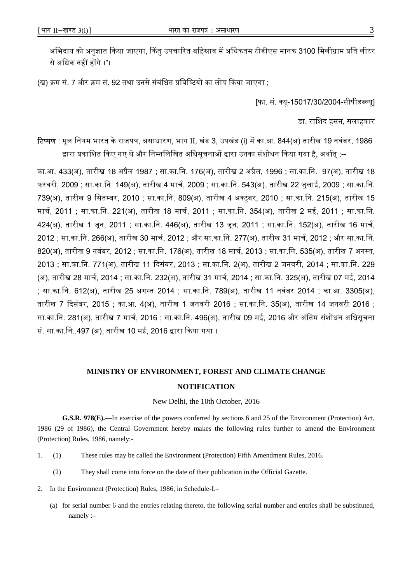अभिदाय को अनुज्ञात किया जाएगा, किंतु उपचारित बहिस्राव में अधिकतम टीडीएस मानक 3100 मिलीग्राम प्रति लीटर से अधिक नहीं होंगे ।"।

(ख) क्रम सं. 7 और क्रम सं. 92 तथा उनसे संबंधित प्रविष्टियों का लोप किया जाएगा ;

[फा. सं. क्यू-15017/30/2004-सीपीडब्ल्यू]

डा. रािशद हसन, सलाहकार

टिप्पण : मूल नियम भारत के राजपत्र, असाधारण, भाग II, खंड 3, उपखंड (i) में का.आ. 844(अ) तारीख 19 नवंबर, 1986 द्वारा प्रकाशित किए गए थे और निम्नलिखित अधिसूचनाओं द्वारा उनका संशोधन किया गया है, अर्थात् :--

का.आ. 433(अ), तारीख 18 अᮧैल 1987 ; सा.का.िन. 176(अ), तारीख 2 अᮧैल, 1996 ; सा.का.िन. 97(अ), तारीख 18 फरवरी, 2009 ; सा.का.िन. 149(अ), तारीख 4 माचᭅ, 2009 ; सा.का.िन. 543(अ), तारीख 22 जुलाई, 2009 ; सा.का.िन. 739(अ), तारीख 9 िसत᭥बर, 2010 ; सा.का.िन. 809(अ), तारीख 4 अटूबर, 2010 ; सा.का.िन. 215(अ), तारीख 15 मार्च, 2011 ; सा.का.नि. 221(अ), तारीख 18 मार्च, 2011 ; सा.का.नि. 354(अ), तारीख 2 मई, 2011 ; सा.का.नि. 424(अ), तारीख 1 जून, 2011 ; सा.का.नि. 446(अ), तारीख 13 जून, 2011 ; सा.का.नि. 152(अ), तारीख 16 मार्च, 2012 ; सा.का.नि. 266(अ), तारीख 30 मार्च, 2012 ; और सा.का.नि. 277(अ), तारीख 31 मार्च, 2012 ; और सा.का.नि. 820(अ), तारीख 9 नवंबर, 2012 ; सा.का.नि. 176(अ), तारीख 18 मार्च, 2013 ; सा.का.नि. 535(अ), तारीख 7 अगस्त, 2013 ; सा.का.िन. 771(अ), तारीख 11 ᳰदसंबर, 2013 ; सा.का.िन. 2(अ), तारीख 2 जनवरी, 2014 ; सा.का.िन. 229 (अ), तारीख 28 मार्च, 2014 ; सा.का.नि. 232(अ), तारीख 31 मार्च, 2014 ; सा.का.नि. 325(अ), तारीख 07 मई, 2014 ; सा.का.नि. 612(अ), तारीख 25 अगस्त 2014 ; सा.का.नि. 789(अ), तारीख 11 नवंबर 2014 ; का.आ. 3305(अ), तारीख 7 ᳰदसंबर, 2015 ; का.आ. 4(अ), तारीख 1 जनवरी 2016 ; सा.का.िन. 35(अ), तारीख 14 जनवरी 2016 ; सा.का.नि. 281(अ), तारीख 7 मार्च, 2016 ; सा.का.नि. 496(अ), तारीख 09 मई, 2016 और अंतिम संशोधन अधिसूचना सं. सा.का.नि..497 (अ), तारीख 10 मई, 2016 द्वारा किया गया ।

# **MINISTRY OF ENVIRONMENT, FOREST AND CLIMATE CHANGE NOTIFICATION**

New Delhi, the 10th October, 2016

**G.S.R. 978(E).—**In exercise of the powers conferred by sections 6 and 25 of the Environment (Protection) Act, 1986 (29 of 1986), the Central Government hereby makes the following rules further to amend the Environment (Protection) Rules, 1986, namely:-

- 1. (1) These rules may be called the Environment (Protection) Fifth Amendment Rules, 2016.
	- (2) They shall come into force on the date of their publication in the Official Gazette.
- 2. In the Environment (Protection) Rules, 1986, in Schedule-I.–
	- (a) for serial number 6 and the entries relating thereto, the following serial number and entries shall be substituted, namely :–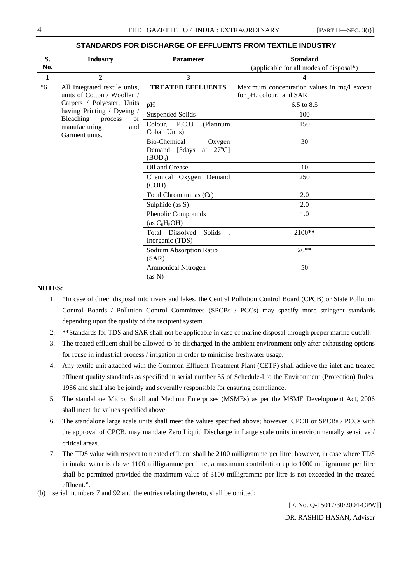| S.        | <b>Industry</b>                                                                 | <b>Parameter</b>                                                                     | <b>Standard</b>                                                        |
|-----------|---------------------------------------------------------------------------------|--------------------------------------------------------------------------------------|------------------------------------------------------------------------|
| No.       |                                                                                 |                                                                                      | (applicable for all modes of disposal*)                                |
| 1         | $\overline{2}$                                                                  | 3                                                                                    | 4                                                                      |
| $\cdot 6$ | All Integrated textile units,<br>units of Cotton / Woollen /                    | <b>TREATED EFFLUENTS</b>                                                             | Maximum concentration values in mg/l except<br>for pH, colour, and SAR |
|           | Carpets / Polyester, Units                                                      | pH                                                                                   | 6.5 to 8.5                                                             |
|           | having Printing / Dyeing /                                                      | <b>Suspended Solids</b>                                                              | 100                                                                    |
|           | Bleaching<br>process<br><sub>or</sub><br>manufacturing<br>and<br>Garment units. | Colour, P.C.U<br>(Platinum<br>Cobalt Units)                                          | 150                                                                    |
|           |                                                                                 | Bio-Chemical<br>Oxygen<br>at $27^{\circ}$ C]<br>Demand [3days<br>(BOD <sub>3</sub> ) | 30                                                                     |
|           |                                                                                 | Oil and Grease                                                                       | 10                                                                     |
|           |                                                                                 | Chemical Oxygen Demand<br>(COD)                                                      | 250                                                                    |
|           |                                                                                 | Total Chromium as (Cr)                                                               | 2.0                                                                    |
|           |                                                                                 | Sulphide (as S)                                                                      | 2.0                                                                    |
|           |                                                                                 | Phenolic Compounds<br>(as $C_6H_5OH$ )                                               | 1.0                                                                    |
|           |                                                                                 | Dissolved<br>Total<br>Solids<br>Inorganic (TDS)                                      | $2100**$                                                               |
|           |                                                                                 | Sodium Absorption Ratio<br>(SAR)                                                     | $26**$                                                                 |
|           |                                                                                 | <b>Ammonical Nitrogen</b><br>(as N)                                                  | 50                                                                     |

#### **STANDARDS FOR DISCHARGE OF EFFLUENTS FROM TEXTILE INDUSTRY**

#### **NOTES:**

- 1. \*In case of direct disposal into rivers and lakes, the Central Pollution Control Board (CPCB) or State Pollution Control Boards / Pollution Control Committees (SPCBs / PCCs) may specify more stringent standards depending upon the quality of the recipient system.
- 2. \*\*Standards for TDS and SAR shall not be applicable in case of marine disposal through proper marine outfall.
- 3. The treated effluent shall be allowed to be discharged in the ambient environment only after exhausting options for reuse in industrial process / irrigation in order to minimise freshwater usage.
- 4. Any textile unit attached with the Common Effluent Treatment Plant (CETP) shall achieve the inlet and treated effluent quality standards as specified in serial number 55 of Schedule-I to the Environment (Protection) Rules, 1986 and shall also be jointly and severally responsible for ensuring compliance.
- 5. The standalone Micro, Small and Medium Enterprises (MSMEs) as per the MSME Development Act, 2006 shall meet the values specified above.
- 6. The standalone large scale units shall meet the values specified above; however, CPCB or SPCBs / PCCs with the approval of CPCB, may mandate Zero Liquid Discharge in Large scale units in environmentally sensitive / critical areas.
- 7. The TDS value with respect to treated effluent shall be 2100 milligramme per litre; however, in case where TDS in intake water is above 1100 milligramme per litre, a maximum contribution up to 1000 milligramme per litre shall be permitted provided the maximum value of 3100 milligramme per litre is not exceeded in the treated effluent.".
- (b) serial numbers 7 and 92 and the entries relating thereto, shall be omitted;

 [F. No. Q-15017/30/2004-CPW]] DR. RASHID HASAN, Adviser